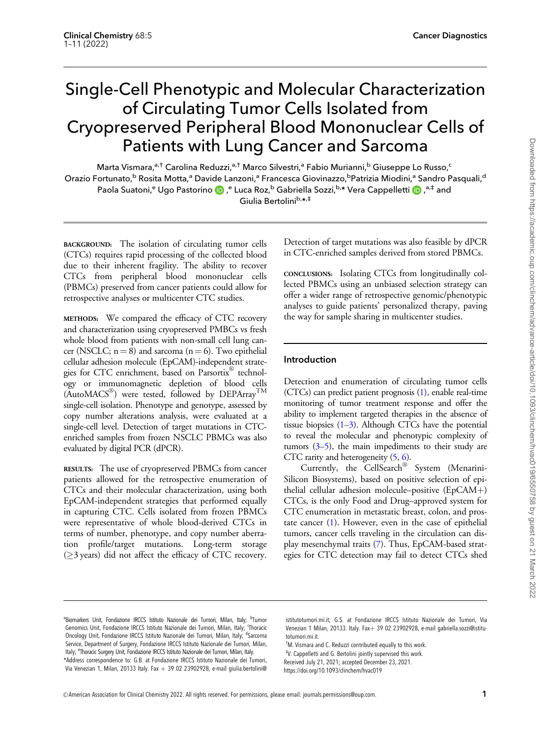# Single-Cell Phenotypic and Molecular Characterization of Circulating Tumor Cells Isolated from Cryopreserved Peripheral Blood Mononuclear Cells of Patients with Lung Cancer and Sarcoma

Marta Vismara,<sup>a,†</sup> Carolina Reduzzi,<sup>a,†</sup> Marco Silvestri,<sup>a</sup> Fabio Murianni,<sup>b</sup> Giuseppe Lo Russo,<sup>c</sup> Orazio Fortunato,<sup>b</sup> Rosita Motta,<sup>a</sup> Davide Lanzoni,<sup>a</sup> Francesca Giovinazzo,<sup>b</sup>Patrizia Miodini,<sup>a</sup> Sandro Pasquali,<sup>c</sup> Paola Suatoni,<sup>e</sup> Ugo Pastorino (D),<sup>e</sup> Luca Roz,<sup>b</sup> Gabriella Sozzi,<sup>b,</sup>\* Vera Cappelletti (D),<sup>a,‡</sup> and Giulia Bertolinib,\*,#

BACKGROUND: The isolation of circulating tumor cells (CTCs) requires rapid processing of the collected blood due to their inherent fragility. The ability to recover CTCs from peripheral blood mononuclear cells (PBMCs) preserved from cancer patients could allow for retrospective analyses or multicenter CTC studies.

METHODS: We compared the efficacy of CTC recovery and characterization using cryopreserved PMBCs vs fresh whole blood from patients with non-small cell lung cancer (NSCLC;  $n = 8$ ) and sarcoma ( $n = 6$ ). Two epithelial cellular adhesion molecule (EpCAM)-independent strategies for CTC enrichment, based on Parsortix® technology or immunomagnetic depletion of blood cells  $(AutoMACS^@)$  were tested, followed by DEPArray<sup>TM</sup> single-cell isolation. Phenotype and genotype, assessed by copy number alterations analysis, were evaluated at a single-cell level. Detection of target mutations in CTCenriched samples from frozen NSCLC PBMCs was also evaluated by digital PCR (dPCR).

RESULTS: The use of cryopreserved PBMCs from cancer patients allowed for the retrospective enumeration of CTCs and their molecular characterization, using both EpCAM-independent strategies that performed equally in capturing CTC. Cells isolated from frozen PBMCs were representative of whole blood-derived CTCs in terms of number, phenotype, and copy number aberration profile/target mutations. Long-term storage  $( \geq 3 \text{ years})$  did not affect the efficacy of CTC recovery.

Detection of target mutations was also feasible by dPCR in CTC-enriched samples derived from stored PBMCs.

CONCLUSIONS: Isolating CTCs from longitudinally collected PBMCs using an unbiased selection strategy can offer a wider range of retrospective genomic/phenotypic analyses to guide patients' personalized therapy, paving the way for sample sharing in multicenter studies.

# Introduction

Detection and enumeration of circulating tumor cells (CTCs) can predict patient prognosis [\(1](#page-9-0)), enable real-time monitoring of tumor treatment response and offer the ability to implement targeted therapies in the absence of tissue biopsies  $(1-3)$ . Although CTCs have the potential to reveal the molecular and phenotypic complexity of tumors  $(3-5)$ , the main impediments to their study are CTC rarity and heterogeneity [\(5,](#page-9-0) [6\)](#page-9-0).

Currently, the CellSearch® System (Menarini-Silicon Biosystems), based on positive selection of epithelial cellular adhesion molecule–positive  $(EpCAM+)$ CTCs, is the only Food and Drug–approved system for CTC enumeration in metastatic breast, colon, and prostate cancer  $(1)$  $(1)$ . However, even in the case of epithelial tumors, cancer cells traveling in the circulation can display mesenchymal traits [\(7](#page-9-0)). Thus, EpCAM-based strategies for CTC detection may fail to detect CTCs shed

[istitutotumori.mi.it; G.S. at Fondazione IRCCS Istituto Nazionale dei Tumori, Via](mailto:giulia.bertolini@istitutotumori.mi.it) [Venezian 1 Milan, 20133. Italy. Fax](mailto:giulia.bertolini@istitutotumori.mi.it)+ [39 02 23902928, e-mail gabriella.sozzi@istitu](mailto:gabriella.sozzi@istitutotumori.mi.it)[totumori.mi.it.](mailto:gabriella.sozzi@istitutotumori.mi.it)

† [M. Vismara and C. Reduzzi contributed equally to this work.](mailto:gabriella.sozzi@istitutotumori.mi.it) ‡ [V. Cappelletti and G. Bertolini jointly supervised this work.](mailto:gabriella.sozzi@istitutotumori.mi.it)

Received July 21, 2021; accepted December 23, 2021.

https://doi.org/10.1093/clinchem/hvac019

<sup>&</sup>lt;sup>a</sup>Biomarkers Unit, Fondazione IRCCS Istituto Nazionale dei Tumori, Milan, Italy; <sup>b</sup>Tumor Genomics Unit, Fondazione IRCCS Istituto Nazionale dei Tumori, Milan, Italy; 'Thoracio Oncology Unit, Fondazione IRCCS Istituto Nazionale dei Tumori, Milan, Italy; dSarcoma Service, Department of Surgery, Fondazione IRCCS Istituto Nazionale dei Tumori, Milan, Italy; <sup>e</sup>Thoracic Surgery Unit, Fondazione IRCCS Istituto Nazionale dei Tumori, Milan, Italy. \*Address correspondence to: G.B. at Fondazione IRCCS Istituto Nazionale dei Tumori, Via Venezian 1, Milan, 20133 Italy. Fax  $+$  39 02 23902928, e-mail [giulia.bertolini@](mailto:giulia.bertolini@istitutotumori.mi.it)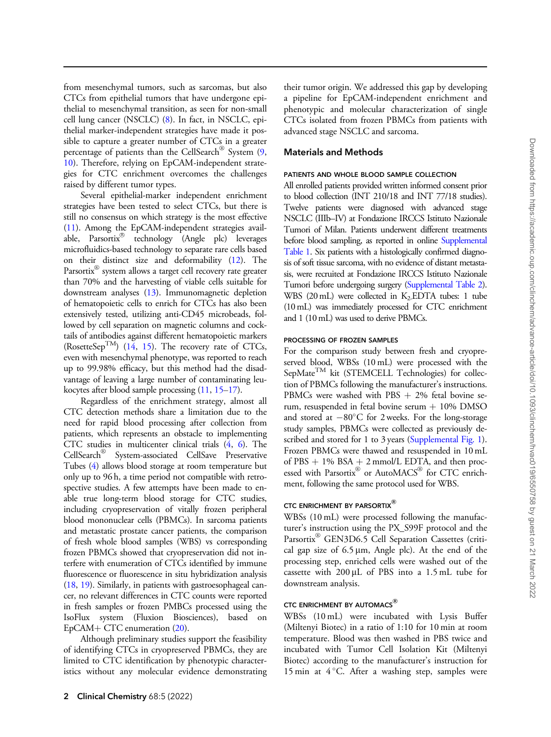from mesenchymal tumors, such as sarcomas, but also CTCs from epithelial tumors that have undergone epithelial to mesenchymal transition, as seen for non-small cell lung cancer (NSCLC) [\(8](#page-9-0)). In fact, in NSCLC, epithelial marker-independent strategies have made it possible to capture a greater number of CTCs in a greater percentage of patients than the CellSearch® System ([9,](#page-9-0) [10](#page-9-0)). Therefore, relying on EpCAM-independent strategies for CTC enrichment overcomes the challenges raised by different tumor types.

Several epithelial-marker independent enrichment strategies have been tested to select CTCs, but there is still no consensus on which strategy is the most effective [\(11](#page-9-0)). Among the EpCAM-independent strategies available, Parsortix<sup>®</sup> technology (Angle plc) leverages microfluidics-based technology to separate rare cells based on their distinct size and deformability [\(12](#page-9-0)). The Parsortix<sup>®</sup> system allows a target cell recovery rate greater than 70% and the harvesting of viable cells suitable for downstream analyses ([13](#page-9-0)). Immunomagnetic depletion of hematopoietic cells to enrich for CTCs has also been extensively tested, utilizing anti-CD45 microbeads, followed by cell separation on magnetic columns and cocktails of antibodies against different hematopoietic markers (RosetteSep<sup>TM</sup>) [\(14,](#page-9-0) [15\)](#page-9-0). The recovery rate of CTCs, even with mesenchymal phenotype, was reported to reach up to 99.98% efficacy, but this method had the disadvantage of leaving a large number of contaminating leukocytes after blood sample processing ([11,](#page-9-0) [15–17](#page-9-0)).

Regardless of the enrichment strategy, almost all CTC detection methods share a limitation due to the need for rapid blood processing after collection from patients, which represents an obstacle to implementing CTC studies in multicenter clinical trials [\(4](#page-9-0), [6\)](#page-9-0). The CellSearch<sup>®</sup> System-associated CellSave Preservative Tubes [\(4](#page-9-0)) allows blood storage at room temperature but only up to 96 h, a time period not compatible with retrospective studies. A few attempts have been made to enable true long-term blood storage for CTC studies, including cryopreservation of vitally frozen peripheral blood mononuclear cells (PBMCs). In sarcoma patients and metastatic prostate cancer patients, the comparison of fresh whole blood samples (WBS) vs corresponding frozen PBMCs showed that cryopreservation did not interfere with enumeration of CTCs identified by immune fluorescence or fluorescence in situ hybridization analysis [\(18](#page-9-0), [19](#page-9-0)). Similarly, in patients with gastroesophageal cancer, no relevant differences in CTC counts were reported in fresh samples or frozen PMBCs processed using the IsoFlux system (Fluxion Biosciences), based on  $EpCAM+CTC$  enumeration  $(20)$  $(20)$ .

Although preliminary studies support the feasibility of identifying CTCs in cryopreserved PBMCs, they are limited to CTC identification by phenotypic characteristics without any molecular evidence demonstrating their tumor origin. We addressed this gap by developing a pipeline for EpCAM-independent enrichment and phenotypic and molecular characterization of single CTCs isolated from frozen PBMCs from patients with advanced stage NSCLC and sarcoma.

## Materials and Methods

## PATIENTS AND WHOLE BLOOD SAMPLE COLLECTION

All enrolled patients provided written informed consent prior to blood collection (INT 210/18 and INT 77/18 studies). Twelve patients were diagnosed with advanced stage NSCLC (IIIb–IV) at Fondazione IRCCS Istituto Nazionale Tumori of Milan. Patients underwent different treatments before blood sampling, as reported in online [Supplemental](https://academic.oup.com/clinchem/article-lookup/doi/10.1093/clinchem/hvac019#supplementary-data) [Table 1](https://academic.oup.com/clinchem/article-lookup/doi/10.1093/clinchem/hvac019#supplementary-data). Six patients with a histologically confirmed diagnosis of soft tissue sarcoma, with no evidence of distant metastasis, were recruited at Fondazione IRCCS Istituto Nazionale Tumori before undergoing surgery [\(Supplemental Table 2](https://academic.oup.com/clinchem/article-lookup/doi/10.1093/clinchem/hvac019#supplementary-data)). WBS (20mL) were collected in K2-EDTA tubes: 1 tube (10 mL) was immediately processed for CTC enrichment and 1 (10 mL) was used to derive PBMCs.

#### PROCESSING OF FROZEN SAMPLES

For the comparison study between fresh and cryopreserved blood, WBSs (10 mL) were processed with the  $SepMate^{TM}$  kit (STEMCELL Technologies) for collection of PBMCs following the manufacturer's instructions. PBMCs were washed with PBS  $+2\%$  fetal bovine serum, resuspended in fetal bovine serum  $+$  10% DMSO and stored at  $-80^{\circ}$ C for 2 weeks. For the long-storage study samples, PBMCs were collected as previously de-scribed and stored for 1 to 3 years [\(Supplemental Fig. 1\)](https://academic.oup.com/clinchem/article-lookup/doi/10.1093/clinchem/hvac019#supplementary-data). Frozen PBMCs were thawed and resuspended in 10 mL of PBS  $+$  1% BSA  $+$  2 mmol/L EDTA, and then processed with Parsortix® or AutoMACS® for CTC enrichment, following the same protocol used for WBS.

## CTC ENRICHMENT BY PARSORTIX<sup>®</sup>

WBSs (10 mL) were processed following the manufacturer's instruction using the PX\_S99F protocol and the Parsortix<sup>®</sup> GEN3D6.5 Cell Separation Cassettes (critical gap size of  $6.5 \mu m$ , Angle plc). At the end of the processing step, enriched cells were washed out of the cassette with  $200 \mu L$  of PBS into a 1.5 mL tube for downstream analysis.

## CTC ENRICHMENT BY AUTOMACS<sup>®</sup>

WBSs (10 mL) were incubated with Lysis Buffer (Miltenyi Biotec) in a ratio of 1:10 for 10 min at room temperature. Blood was then washed in PBS twice and incubated with Tumor Cell Isolation Kit (Miltenyi Biotec) according to the manufacturer's instruction for 15 min at  $4^{\circ}$ C. After a washing step, samples were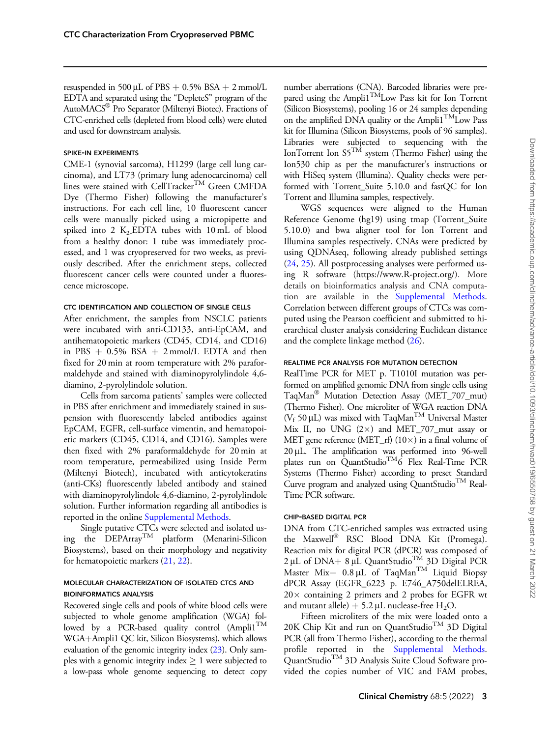resuspended in 500 µL of PBS  $+$  0.5% BSA  $+$  2 mmol/L EDTA and separated using the "DepleteS" program of the AutoMACS® Pro Separator (Miltenyi Biotec). Fractions of CTC-enriched cells (depleted from blood cells) were eluted and used for downstream analysis.

## SPIKE-IN EXPERIMENTS

CME-1 (synovial sarcoma), H1299 (large cell lung carcinoma), and LT73 (primary lung adenocarcinoma) cell lines were stained with CellTracker<sup>TM</sup> Green CMFDA Dye (Thermo Fisher) following the manufacturer's instructions. For each cell line, 10 fluorescent cancer cells were manually picked using a micropipette and spiked into 2  $K_2$  EDTA tubes with 10 mL of blood from a healthy donor: 1 tube was immediately processed, and 1 was cryopreserved for two weeks, as previously described. After the enrichment steps, collected fluorescent cancer cells were counted under a fluorescence microscope.

## CTC IDENTIFICATION AND COLLECTION OF SINGLE CELLS

After enrichment, the samples from NSCLC patients were incubated with anti-CD133, anti-EpCAM, and antihematopoietic markers (CD45, CD14, and CD16) in PBS  $+$  0.5% BSA  $+$  2 mmol/L EDTA and then fixed for 20 min at room temperature with 2% paraformaldehyde and stained with diaminopyrolylindole 4,6 diamino, 2-pyrolylindole solution.

Cells from sarcoma patients' samples were collected in PBS after enrichment and immediately stained in suspension with fluorescently labeled antibodies against EpCAM, EGFR, cell-surface vimentin, and hematopoietic markers (CD45, CD14, and CD16). Samples were then fixed with 2% paraformaldehyde for 20 min at room temperature, permeabilized using Inside Perm (Miltenyi Biotech), incubated with anticytokeratins (anti-CKs) fluorescently labeled antibody and stained with diaminopyrolylindole 4,6-diamino, 2-pyrolylindole solution. Further information regarding all antibodies is reported in the online [Supplemental Methods.](https://academic.oup.com/clinchem/article-lookup/doi/10.1093/clinchem/hvac019#supplementary-data)

Single putative CTCs were selected and isolated using the  $DEPArray^{TM}$  platform (Menarini-Silicon Biosystems), based on their morphology and negativity for hematopoietic markers ([21,](#page-9-0) [22\)](#page-9-0).

# MOLECULAR CHARACTERIZATION OF ISOLATED CTCS AND BIOINFORMATICS ANALYSIS

Recovered single cells and pools of white blood cells were subjected to whole genome amplification (WGA) followed by a PCR-based quality control  $(Ampli1^{TM}$ WGA+Ampli1 QC kit, Silicon Biosystems), which allows evaluation of the genomic integrity index [\(23\)](#page-9-0). Only samples with a genomic integrity index  $\geq 1$  were subjected to a low-pass whole genome sequencing to detect copy number aberrations (CNA). Barcoded libraries were prepared using the Ampli1<sup>TM</sup>Low Pass kit for Ion Torrent (Silicon Biosystems), pooling 16 or 24 samples depending on the amplified DNA quality or the Ampli1<sup>TM</sup>Low Pass kit for Illumina (Silicon Biosystems, pools of 96 samples). Libraries were subjected to sequencing with the IonTorrent Ion  $55^{T\acute{M}}$  system (Thermo Fisher) using the Ion530 chip as per the manufacturer's instructions or with HiSeq system (Illumina). Quality checks were performed with Torrent Suite 5.10.0 and fastQC for Ion Torrent and Illumina samples, respectively.

WGS sequences were aligned to the Human Reference Genome (hg19) using tmap (Torrent\_Suite 5.10.0) and bwa aligner tool for Ion Torrent and Illumina samples respectively. CNAs were predicted by using QDNAseq, following already published settings [\(24,](#page-9-0) [25\)](#page-9-0). All postprocessing analyses were performed using R software [\(https://www.R-project.org/\)](https://www.R-project.org/). More details on bioinformatics analysis and CNA computation are available in the [Supplemental Methods.](https://academic.oup.com/clinchem/article-lookup/doi/10.1093/clinchem/hvac019#supplementary-data) Correlation between different groups of CTCs was computed using the Pearson coefficient and submitted to hierarchical cluster analysis considering Euclidean distance and the complete linkage method [\(26](#page-9-0)).

#### REALTIME PCR ANALYSIS FOR MUTATION DETECTION

RealTime PCR for MET p. T1010I mutation was performed on amplified genomic DNA from single cells using TaqMan® Mutation Detection Assay (MET\_707\_mut) (Thermo Fisher). One microliter of WGA reaction DNA ( $V_f$  50 µL) was mixed with TaqMan<sup>TM</sup> Universal Master Mix II, no UNG  $(2\times)$  and MET\_707\_mut assay or MET gene reference (MET\_rf) (10 $\times$ ) in a final volume of  $20 \mu L$ . The amplification was performed into 96-well plates run on QuantStudio<sup>TM</sup>6 Flex Real-Time PCR Systems (Thermo Fisher) according to preset Standard Curve program and analyzed using QuantStudio<sup>TM</sup> Real-Time PCR software.

#### CHIP-BASED DIGITAL PCR

DNA from CTC-enriched samples was extracted using the Maxwell® RSC Blood DNA Kit (Promega). Reaction mix for digital PCR (dPCR) was composed of  $2 \mu L$  of DNA+ 8  $\mu L$  QuantStudio<sup>TM</sup> 3D Digital PCR Master Mix+  $0.8 \mu L$  of TaqMan<sup>TM</sup> Liquid Biopsy dPCR Assay (EGFR\_6223 p. E746\_A750delELREA,  $20 \times$  containing 2 primers and 2 probes for EGFR wt and mutant allele) + 5.2 µL nuclease-free  $H_2O$ .

Fifteen microliters of the mix were loaded onto a 20K Chip Kit and run on QuantStudio<sup>TM</sup> 3D Digital PCR (all from Thermo Fisher), according to the thermal profile reported in the [Supplemental Methods.](https://academic.oup.com/clinchem/article-lookup/doi/10.1093/clinchem/hvac019#supplementary-data) QuantStudio<sup>TM</sup> 3D Analysis Suite Cloud Software provided the copies number of VIC and FAM probes,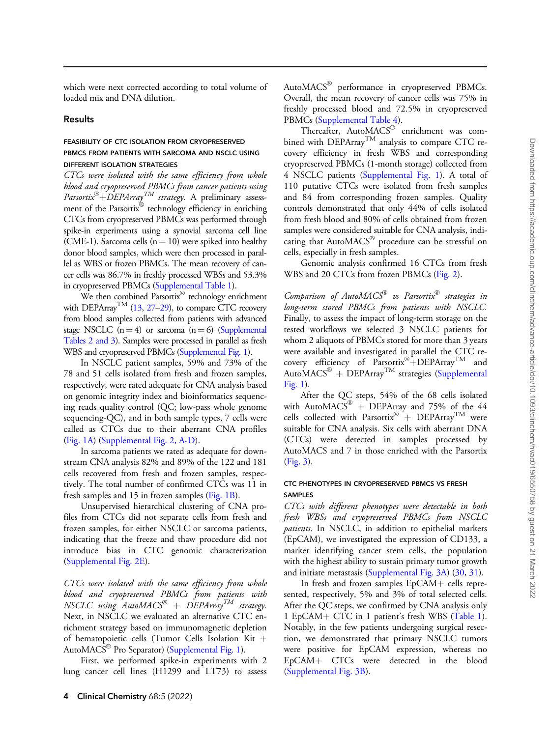which were next corrected according to total volume of loaded mix and DNA dilution.

#### Results

## FEASIBILITY OF CTC ISOLATION FROM CRYOPRESERVED PBMCS FROM PATIENTS WITH SARCOMA AND NSCLC USING DIFFERENT ISOLATION STRATEGIES

CTCs were isolated with the same efficiency from whole blood and cryopreserved PBMCs from cancer patients using Parsortix $\mathscr{D}$ +DEPArray<sup>TM</sup> strategy. A preliminary assessment of the Parsortix® technology efficiency in enriching CTCs from cryopreserved PBMCs was performed through spike-in experiments using a synovial sarcoma cell line (CME-1). Sarcoma cells ( $n = 10$ ) were spiked into healthy donor blood samples, which were then processed in parallel as WBS or frozen PBMCs. The mean recovery of cancer cells was 86.7% in freshly processed WBSs and 53.3% in cryopreserved PBMCs [\(Supplemental Table 1](https://academic.oup.com/clinchem/article-lookup/doi/10.1093/clinchem/hvac019#supplementary-data)).

We then combined  $\operatorname{Parsortix}^{\circledR}$  technology enrichment with DEPArray<sup>TM</sup> [\(13](#page-9-0), [27–29](#page-9-0)), to compare CTC recovery from blood samples collected from patients with advanced stage NSCLC  $(n = 4)$  or sarcoma  $(n = 6)$  [\(Supplemental](https://academic.oup.com/clinchem/article-lookup/doi/10.1093/clinchem/hvac019#supplementary-data) [Tables 2 and 3](https://academic.oup.com/clinchem/article-lookup/doi/10.1093/clinchem/hvac019#supplementary-data)). Samples were processed in parallel as fresh WBS and cryopreserved PBMCs ([Supplemental Fig. 1\)](https://academic.oup.com/clinchem/article-lookup/doi/10.1093/clinchem/hvac019#supplementary-data).

In NSCLC patient samples, 59% and 73% of the 78 and 51 cells isolated from fresh and frozen samples, respectively, were rated adequate for CNA analysis based on genomic integrity index and bioinformatics sequencing reads quality control (QC; low-pass whole genome sequencing-QC), and in both sample types, 7 cells were called as CTCs due to their aberrant CNA profiles ([Fig. 1A\)](#page-4-0) ([Supplemental Fig. 2, A-D](https://academic.oup.com/clinchem/article-lookup/doi/10.1093/clinchem/hvac019#supplementary-data)).

In sarcoma patients we rated as adequate for downstream CNA analysis 82% and 89% of the 122 and 181 cells recovered from fresh and frozen samples, respectively. The total number of confirmed CTCs was 11 in fresh samples and 15 in frozen samples [\(Fig. 1B\)](#page-4-0).

Unsupervised hierarchical clustering of CNA profiles from CTCs did not separate cells from fresh and frozen samples, for either NSCLC or sarcoma patients, indicating that the freeze and thaw procedure did not introduce bias in CTC genomic characterization ([Supplemental Fig. 2E\)](https://academic.oup.com/clinchem/article-lookup/doi/10.1093/clinchem/hvac019#supplementary-data).

CTCs were isolated with the same efficiency from whole blood and cryopreserved PBMCs from patients with  $NSCLC$  using  $Aut oMACS^{\otimes}$  +  $DEPArray^{TM}$  strategy. Next, in NSCLC we evaluated an alternative CTC enrichment strategy based on immunomagnetic depletion of hematopoietic cells (Tumor Cells Isolation Kit  $+$ AutoMACS® Pro Separator) ([Supplemental Fig. 1\)](https://academic.oup.com/clinchem/article-lookup/doi/10.1093/clinchem/hvac019#supplementary-data).

First, we performed spike-in experiments with 2 lung cancer cell lines (H1299 and LT73) to assess

AutoMACS® performance in cryopreserved PBMCs. Overall, the mean recovery of cancer cells was 75% in freshly processed blood and 72.5% in cryopreserved PBMCs ([Supplemental Table 4](https://academic.oup.com/clinchem/article-lookup/doi/10.1093/clinchem/hvac019#supplementary-data)).

Thereafter, AutoMACS® enrichment was combined with  $DEPArray<sup>TM</sup>$  analysis to compare CTC recovery efficiency in fresh WBS and corresponding cryopreserved PBMCs (1-month storage) collected from 4 NSCLC patients [\(Supplemental Fig. 1\)](https://academic.oup.com/clinchem/article-lookup/doi/10.1093/clinchem/hvac019#supplementary-data). A total of 110 putative CTCs were isolated from fresh samples and 84 from corresponding frozen samples. Quality controls demonstrated that only 44% of cells isolated from fresh blood and 80% of cells obtained from frozen samples were considered suitable for CNA analysis, indicating that AutoMACS® procedure can be stressful on cells, especially in fresh samples.

Genomic analysis confirmed 16 CTCs from fresh WBS and 20 CTCs from frozen PBMCs [\(Fig. 2\)](#page-5-0).

Comparison of Auto $MACS^{\circledast}$  vs Parsortix $^{\circledast}$  strategies in long-term stored PBMCs from patients with NSCLC. Finally, to assess the impact of long-term storage on the tested workflows we selected 3 NSCLC patients for whom 2 aliquots of PBMCs stored for more than 3 years were available and investigated in parallel the CTC recovery efficiency of Parsortix<sup>®</sup>+DEPArray<sup>TM</sup> and Auto $MACS^{\circledR}$  + DEPArray<sup>TM</sup> strategies ([Supplemental](https://academic.oup.com/clinchem/article-lookup/doi/10.1093/clinchem/hvac019#supplementary-data) [Fig. 1\)](https://academic.oup.com/clinchem/article-lookup/doi/10.1093/clinchem/hvac019#supplementary-data).

After the QC steps, 54% of the 68 cells isolated with AutoMACS® + DEPArray and 75% of the 44 cells collected with Parsortix® + DEPArray<sup>TM</sup> were suitable for CNA analysis. Six cells with aberrant DNA (CTCs) were detected in samples processed by AutoMACS and 7 in those enriched with the Parsortix [\(Fig. 3\)](#page-5-0).

## CTC PHENOTYPES IN CRYOPRESERVED PBMCS VS FRESH SAMPLES

CTCs with different phenotypes were detectable in both fresh WBSs and cryopreserved PBMCs from NSCLC patients. In NSCLC, in addition to epithelial markers (EpCAM), we investigated the expression of CD133, a marker identifying cancer stem cells, the population with the highest ability to sustain primary tumor growth and initiate metastasis ([Supplemental Fig. 3A](https://academic.oup.com/clinchem/article-lookup/doi/10.1093/clinchem/hvac019#supplementary-data)) [\(30](#page-9-0), [31](#page-9-0)).

In fresh and frozen samples  $EpCAM+$  cells represented, respectively, 5% and 3% of total selected cells. After the QC steps, we confirmed by CNA analysis only 1 EpCAM+ CTC in 1 patient's fresh WBS [\(Table 1\)](#page-6-0). Notably, in the few patients undergoing surgical resection, we demonstrated that primary NSCLC tumors were positive for EpCAM expression, whereas no EpCAM+ CTCs were detected in the blood [\(Supplemental Fig. 3B\)](https://academic.oup.com/clinchem/article-lookup/doi/10.1093/clinchem/hvac019#supplementary-data).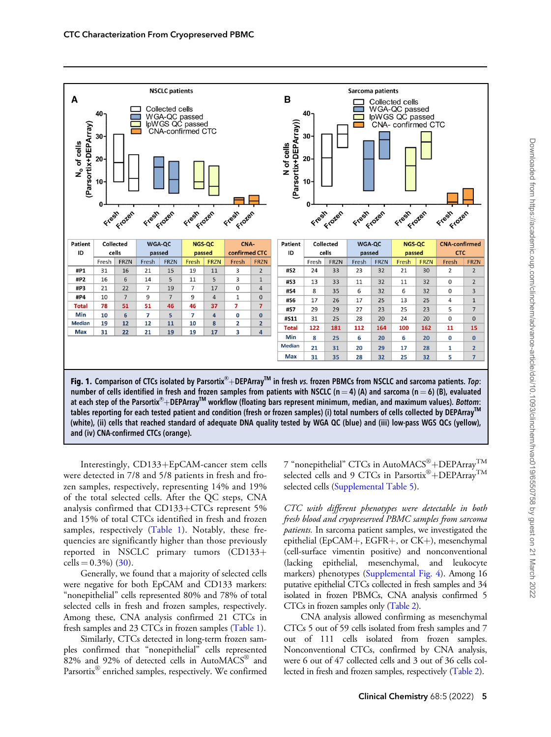<span id="page-4-0"></span>

number of cells identified in fresh and frozen samples from patients with NSCLC (n = 4) (A) and sarcoma (n = 6) (B), evaluated at each step of the Parsortix®+DEPArray<sup>TM</sup> workflow (floating bars represent minimum, median, and maximum values). Bottom: tables reporting for each tested patient and condition (fresh or frozen samples) (i) total numbers of cells collected by DEPArray<sup>™</sup> (white), (ii) cells that reached standard of adequate DNA quality tested by WGA QC (blue) and (iii) low-pass WGS QCs (yellow), and (iv) CNA-confirmed CTCs (orange).

Interestingly, CD133+EpCAM-cancer stem cells were detected in 7/8 and 5/8 patients in fresh and frozen samples, respectively, representing 14% and 19% of the total selected cells. After the QC steps, CNA analysis confirmed that  $CD133+CTCs$  represent 5% and 15% of total CTCs identified in fresh and frozen samples, respectively ([Table 1](#page-6-0)). Notably, these frequencies are significantly higher than those previously reported in NSCLC primary tumors (CD133+ cells =  $0.3\%$ ) ([30](#page-9-0)).

Generally, we found that a majority of selected cells were negative for both EpCAM and CD133 markers: "nonepithelial" cells represented 80% and 78% of total selected cells in fresh and frozen samples, respectively. Among these, CNA analysis confirmed 21 CTCs in fresh samples and 23 CTCs in frozen samples [\(Table 1\)](#page-6-0).

Similarly, CTCs detected in long-term frozen samples confirmed that "nonepithelial" cells represented  $82\%$  and 92% of detected cells in AutoMACS<sup>®</sup> and Parsortix® enriched samples, respectively. We confirmed

7 "nonepithelial" CTCs in AutoMACS®+DEPArray<sup>TM</sup> selected cells and 9 CTCs in Parsortix®+DEPArray<sup>TM</sup> selected cells ([Supplemental Table 5\)](https://academic.oup.com/clinchem/article-lookup/doi/10.1093/clinchem/hvac019#supplementary-data).

CTC with different phenotypes were detectable in both fresh blood and cryopreserved PBMC samples from sarcoma patients. In sarcoma patient samples, we investigated the epithelial (EpCAM+, EGFR+, or CK+), mesenchymal (cell-surface vimentin positive) and nonconventional (lacking epithelial, mesenchymal, and leukocyte markers) phenotypes [\(Supplemental Fig. 4\)](https://academic.oup.com/clinchem/article-lookup/doi/10.1093/clinchem/hvac019#supplementary-data). Among 16 putative epithelial CTCs collected in fresh samples and 34 isolated in frozen PBMCs, CNA analysis confirmed 5 CTCs in frozen samples only ([Table 2\)](#page-6-0).

CNA analysis allowed confirming as mesenchymal CTCs 5 out of 59 cells isolated from fresh samples and 7 out of 111 cells isolated from frozen samples. Nonconventional CTCs, confirmed by CNA analysis, were 6 out of 47 collected cells and 3 out of 36 cells collected in fresh and frozen samples, respectively [\(Table 2\)](#page-6-0).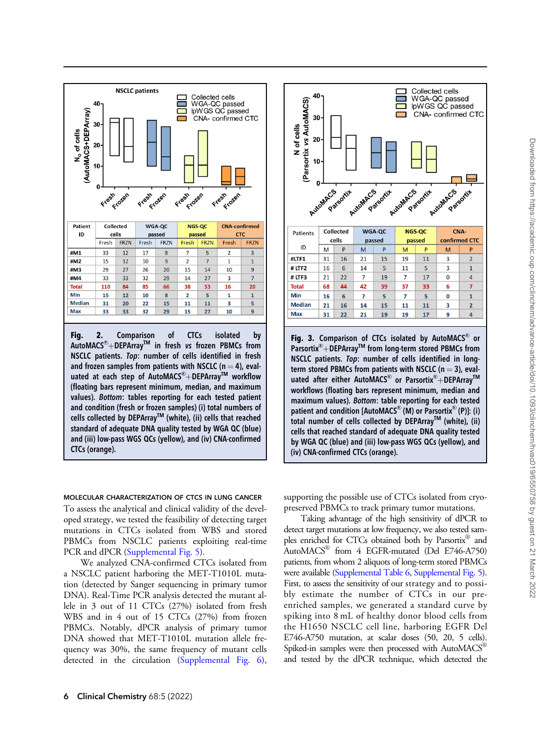<span id="page-5-0"></span>

#### MOLECULAR CHARACTERIZATION OF CTCS IN LUNG CANCER

To assess the analytical and clinical validity of the developed strategy, we tested the feasibility of detecting target mutations in CTCs isolated from WBS and stored PBMCs from NSCLC patients exploiting real-time PCR and dPCR ([Supplemental Fig. 5\)](https://academic.oup.com/clinchem/article-lookup/doi/10.1093/clinchem/hvac019#supplementary-data).

We analyzed CNA-confirmed CTCs isolated from a NSCLC patient harboring the MET-T1010L mutation (detected by Sanger sequencing in primary tumor DNA). Real-Time PCR analysis detected the mutant allele in 3 out of 11 CTCs (27%) isolated from fresh WBS and in 4 out of 15 CTCs (27%) from frozen PBMCs. Notably, dPCR analysis of primary tumor DNA showed that MET-T1010L mutation allele frequency was 30%, the same frequency of mutant cells detected in the circulation [\(Supplemental Fig. 6\)](https://academic.oup.com/clinchem/article-lookup/doi/10.1093/clinchem/hvac019#supplementary-data),



supporting the possible use of CTCs isolated from cryopreserved PBMCs to track primary tumor mutations.

Taking advantage of the high sensitivity of dPCR to detect target mutations at low frequency, we also tested samples enriched for CTCs obtained both by Parsortix® and  $\text{AutoMACS}^{\circledR}$  from 4 EGFR-mutated (Del E746-A750) patients, from whom 2 aliquots of long-term stored PBMCs were available ([Supplemental Table 6,](https://academic.oup.com/clinchem/article-lookup/doi/10.1093/clinchem/hvac019#supplementary-data) [Supplemental Fig. 5\)](https://academic.oup.com/clinchem/article-lookup/doi/10.1093/clinchem/hvac019#supplementary-data). First, to assess the sensitivity of our strategy and to possibly estimate the number of CTCs in our preenriched samples, we generated a standard curve by spiking into 8 mL of healthy donor blood cells from the H1650 NSCLC cell line, harboring EGFR Del E746-A750 mutation, at scalar doses (50, 20, 5 cells). Spiked-in samples were then processed with  $AutOMACS^{\mathcal{B}}$ and tested by the dPCR technique, which detected the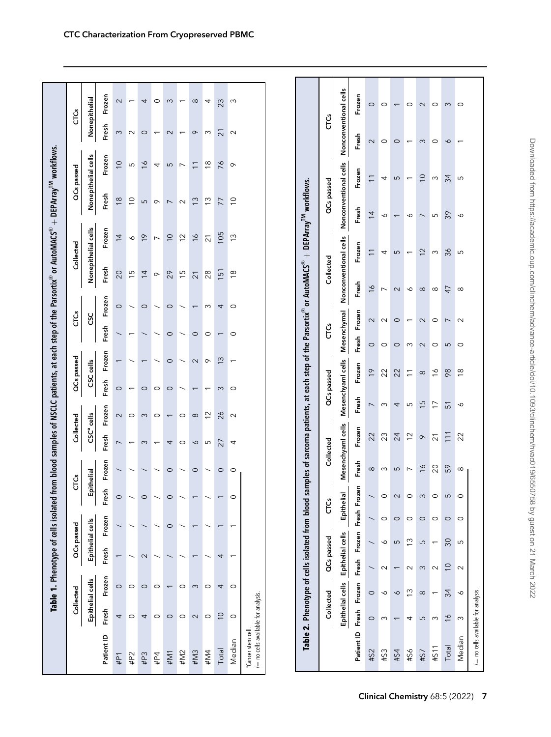<span id="page-6-0"></span>

|                                                           |                |                          |                   | Table 1. Phenotype of cells isolated |              |                          |                        |                          |                                     |                |                                       |                          | from blood samples of NSCLC patients, at each step of the Parsortix® or AutoMACS® + DEPArray™ workflows.                                        |                          |                          |                          |                          |  |
|-----------------------------------------------------------|----------------|--------------------------|-------------------|--------------------------------------|--------------|--------------------------|------------------------|--------------------------|-------------------------------------|----------------|---------------------------------------|--------------------------|-------------------------------------------------------------------------------------------------------------------------------------------------|--------------------------|--------------------------|--------------------------|--------------------------|--|
|                                                           |                | Collected                |                   | QCs passed                           |              | CTCs                     |                        | Collected                | QCs passed                          |                | СTCS                                  |                          | Collected                                                                                                                                       |                          | QC <sub>s</sub> passed   |                          | СTČS                     |  |
|                                                           |                | Epithelial cells         |                   | Epithelial cells                     |              | Epithelial               | CSC <sup>a</sup> cells |                          | cells<br>ပ္လ                        |                | ပ္လ                                   |                          | Nonepithelial cells                                                                                                                             |                          | Nonepithelial cells      |                          | Nonepithelial            |  |
| Patient ID                                                | Fresh          | Frozen                   | Fresh             | Frozen                               | 운<br>Ĕ       | Frozen                   | Fresh                  | Frozen                   | Frozen<br>Fresh                     |                | Frozen<br>Fresh                       | Fresh                    | Frozen                                                                                                                                          | Fresh                    | Frozen                   | Fresh                    | Frozen                   |  |
| #P1                                                       | 4              | $\circ$                  |                   |                                      | $\circ$      |                          | $\overline{ }$         | $\sim$                   | $\circ$                             |                | $\circ$                               | 20                       | $\overline{4}$                                                                                                                                  | $\frac{8}{18}$           | $\overline{C}$           | $\infty$                 | $\sim$                   |  |
| #P2                                                       | $\circ$        | $\circ$                  |                   |                                      |              |                          |                        | $\circ$                  | $\overline{\phantom{0}}$            |                | $\overline{\phantom{0}}$              |                          | ∘<br>15                                                                                                                                         | $\overline{C}$           | $\mathsf{L}\Omega$       | $\sim$                   |                          |  |
| #P3                                                       | 4              | $\circ$                  | $\mathbf{\Omega}$ |                                      | $\circ$      | $\overline{\phantom{0}}$ | $\infty$               | $\infty$                 | $\overline{ }$<br>$\circ$           |                | $\circ$<br>$\overline{\phantom{0}}$   | $\overline{4}$           | $\frac{6}{1}$                                                                                                                                   | 5                        | $\frac{6}{1}$            | $\circ$                  | 4                        |  |
| #P4                                                       | $\circ$        | $\circ$                  |                   |                                      |              | $\diagup$                | $\overline{ }$         | $\circ$                  | $\overline{\phantom{0}}$<br>$\circ$ |                | $\diagup$<br>$\overline{\phantom{0}}$ | $\infty$                 | $\overline{\phantom{a}}$                                                                                                                        | $\circ$                  | 4                        | $\overline{\phantom{0}}$ | 0                        |  |
| #M1                                                       | $\circ$        |                          |                   | $\circ$                              | $\circ$      | $\circ$                  | 4                      | $\overline{\phantom{m}}$ | $\circ$<br>$\circ$                  |                | $\circ$<br>$\circ$                    | 29                       | $\overline{C}$                                                                                                                                  | $\overline{ }$           | $\overline{5}$           | $\sim$                   | S                        |  |
| #M2                                                       | $\circ$        | 0                        |                   |                                      |              | $\overline{\phantom{0}}$ | $\circ$                | $\circ$                  | ╮                                   |                | $\overline{\phantom{0}}$              | $\frac{15}{2}$           | $\overline{2}$                                                                                                                                  | $\sim$                   | $\overline{\phantom{0}}$ | $\overline{\phantom{0}}$ | $\overline{\phantom{0}}$ |  |
| #M3                                                       | $\sim$         | $\infty$                 | $\overline{ }$    | $\overline{ }$                       |              | $\circ$                  | $\mathbf{\hat{e}}$     | $\infty$                 | $\sim$<br>$\overline{\phantom{0}}$  |                | $\overline{\phantom{0}}$<br>$\circ$   | $\overline{21}$          | $\frac{6}{1}$                                                                                                                                   | $\frac{3}{2}$            | $\overline{1}$           | $\infty$                 | $\infty$                 |  |
| #M4                                                       | $\circ$        | $\circ$                  |                   |                                      |              | $\overline{\phantom{0}}$ | Б                      | $\frac{2}{3}$            | $\circ$<br>$\overline{\phantom{0}}$ |                | $\sim$<br>$\circ$                     | 28                       | $\overline{21}$                                                                                                                                 | $\frac{3}{2}$            | $\frac{8}{1}$            | $\infty$                 | 4                        |  |
| Total                                                     | $\overline{C}$ | 4                        | 4                 | $\overline{ }$                       |              | $\circ$                  | 27                     | 26                       | $\frac{3}{2}$<br>$\infty$           |                | 4<br>$\overline{\phantom{m}}$         | 151                      | 105                                                                                                                                             | 77                       | 76                       | $\overline{z}$           | 23                       |  |
| Median                                                    | $\circ$        | $\circ$                  | ٠                 | $\overline{ }$                       | $\circ$      | $\circ$                  | 4                      | $\sim$                   | $\overline{\phantom{0}}$<br>$\circ$ |                | $\circ$<br>$\circ$                    | $\frac{8}{10}$           | $\frac{3}{2}$                                                                                                                                   | $\supseteq$              | $\circ$                  | $\sim$                   | S                        |  |
| / = no cells available for analysis.<br>aCancer stem cell |                |                          |                   |                                      |              |                          |                        |                          |                                     |                |                                       |                          |                                                                                                                                                 |                          |                          |                          |                          |  |
|                                                           |                |                          |                   |                                      |              |                          |                        |                          |                                     |                |                                       |                          |                                                                                                                                                 |                          |                          |                          |                          |  |
|                                                           |                |                          |                   |                                      |              |                          |                        |                          |                                     |                |                                       |                          | Table 2. Phenotype of cells isolated from blood samples of sarcoma patients, at each step of the Parsortix® or AutoMACS® + DEPArray™ workflows. |                          |                          |                          |                          |  |
|                                                           |                | Collected                | QCs passed        |                                      | СTČS         |                          | Collected              |                          | QCs passed                          |                | СTCS                                  |                          | Collected                                                                                                                                       |                          | QCs passed               |                          | СТČS                     |  |
|                                                           |                | Epithelial cells         | Epithelial cells  |                                      | Epithelial   |                          | Mesenchyaml cells      |                          | Mesenchyami cells                   |                | Mesenchymal                           |                          | Nonconventional cells                                                                                                                           |                          | Nonconventional cells    |                          | Nonconventional cells    |  |
| Patient ID                                                | Fresh          | Frozen                   | Fresh             | Frozen                               | Fresh Frozen | Fresh                    | Frozen                 | Fresh                    | Frozen                              | Fresh          | Frozen                                | Fresh                    | Frozen                                                                                                                                          | Fresh                    | Frozen                   | Fresh                    | Frozen                   |  |
| #S2                                                       | $\circ$        | $\circ$                  |                   |                                      |              | ${}^{\circ}$             | 22                     | $\overline{ }$           | $\frac{1}{2}$                       | $\circ$        | $\sim$                                | $\frac{6}{1}$            | $\overline{1}$                                                                                                                                  | $\overline{4}$           | $\overline{\phantom{0}}$ | $\sim$                   | $\circ$                  |  |
| #53                                                       | $\infty$       | 6                        | $\sim$            | $\circ$<br>∘                         | $\circ$      | $\infty$                 | 23                     | $\infty$                 | 22                                  | $\circ$        | $\sim$                                | $\overline{\phantom{a}}$ | 4                                                                                                                                               | ⇘                        | 4                        | $\circ$                  | $\circ$                  |  |
| #S4                                                       |                | $\mathbf{\hat{e}}$       |                   | $\circ$<br>LO                        | $\sim$       | $\overline{5}$           | 24                     | $\overline{4}$           | 22                                  | $\circ$        | $\circ$                               | $\sim$                   | $\overline{5}$                                                                                                                                  | $\overline{\phantom{0}}$ | $\overline{5}$           | $\circ$                  | $\overline{\phantom{0}}$ |  |
| #56                                                       | 4              | $\frac{3}{2}$            | $\sim$            | $\circ$<br>$\frac{3}{2}$             | $\circ$      | $\overline{\phantom{0}}$ | $\frac{2}{3}$          | S                        | $\overline{1}$                      | $\infty$       | $\overline{\phantom{0}}$              | $\infty$                 | $\overline{\phantom{0}}$                                                                                                                        | $\sim$                   | $\overline{\phantom{m}}$ | $\overline{\phantom{m}}$ | $\circ$                  |  |
| #S7                                                       | $\overline{5}$ | $\infty$                 | $\infty$          | $\circ$<br>$\overline{5}$            | က            | $\frac{6}{2}$            | $\infty$               | 15                       | $\infty$                            | $\sim$         | $\sim$                                | $\infty$                 | 12                                                                                                                                              | $\overline{\phantom{0}}$ | $\overline{C}$           | $\infty$                 | $\sim$                   |  |
| #S11                                                      | $\infty$       | $\overline{\phantom{0}}$ | $\sim$            | $\circ$<br>$\overline{\phantom{0}}$  | 0            | 20                       | $\overline{2}$ 1       | $\overline{1}$           | $\frac{6}{1}$                       | $\circ$        | $\circ$                               | $\infty$                 | $\infty$                                                                                                                                        | Б                        | $\sim$                   | $\circ$                  | $\circ$                  |  |
| Total                                                     | $\frac{6}{1}$  | 34                       | $\overline{C}$    | $\circ$<br>30                        | ഗ            | 59                       | $\overline{11}$        | $\overline{5}$           | 98                                  | $\overline{5}$ | $\overline{\phantom{0}}$              | 47                       | 36                                                                                                                                              | 39                       | 34                       | $\mathbf{\hat{e}}$       | $\infty$                 |  |
| Median                                                    | $\infty$       | ∾                        | $\sim$            | $\circ$<br>ഗ                         |              | $\infty$                 | 22                     | $\breve{\phantom{a}}$    | $\frac{8}{10}$                      | $\circ$        | $\sim$                                | $\infty$                 | S                                                                                                                                               | ∾                        | LO                       |                          | $\circ$                  |  |

 $/$   $=$  no cells available for analysis.

/= no cells available for analysis.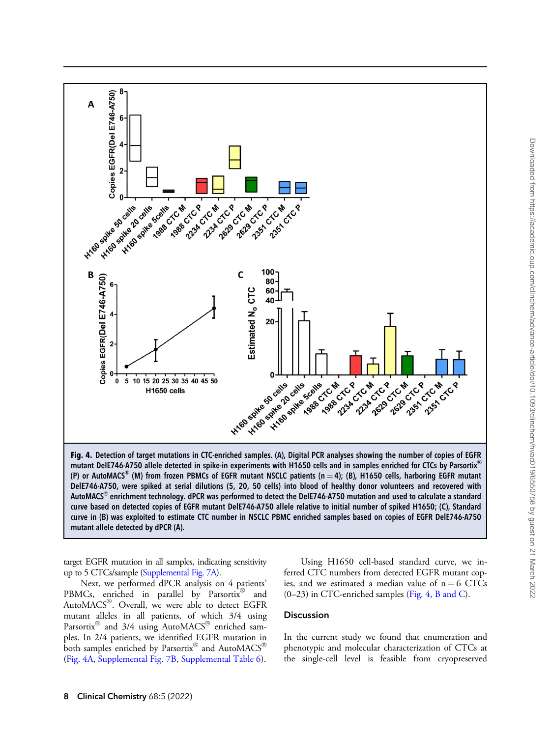

mutant DelE746-A750 allele detected in spike-in experiments with H1650 cells and in samples enriched for CTCs by Parsortix® (P) or AutoMACS $^\circ$  (M) from frozen PBMCs of EGFR mutant NSCLC patients (n  $=$  4); (B), H1650 cells, harboring EGFR mutant DelE746-A750, were spiked at serial dilutions (5, 20, 50 cells) into blood of healthy donor volunteers and recovered with <code>AutoMACS®</code> enrichment technology. dPCR was performed to detect the DelE746-A750 mutation and used to calculate a standard curve based on detected copies of EGFR mutant DelE746-A750 allele relative to initial number of spiked H1650; (C), Standard curve in (B) was exploited to estimate CTC number in NSCLC PBMC enriched samples based on copies of EGFR DelE746-A750 mutant allele detected by dPCR (A).

target EGFR mutation in all samples, indicating sensitivity up to 5 CTCs/sample ([Supplemental Fig. 7A\)](https://academic.oup.com/clinchem/article-lookup/doi/10.1093/clinchem/hvac019#supplementary-data).

Next, we performed dPCR analysis on 4 patients' PBMCs, enriched in parallel by Parsortix<sup>®</sup> and AutoMACS®. Overall, we were able to detect EGFR mutant alleles in all patients, of which 3/4 using Parsortix<sup>®</sup> and 3/4 using AutoMACS<sup>®</sup> enriched samples. In 2/4 patients, we identified EGFR mutation in both samples enriched by Parsortix® and AutoMACS® (Fig. 4A, [Supplemental Fig. 7B](https://academic.oup.com/clinchem/article-lookup/doi/10.1093/clinchem/hvac019#supplementary-data), [Supplemental Table 6\)](https://academic.oup.com/clinchem/article-lookup/doi/10.1093/clinchem/hvac019#supplementary-data).

Using H1650 cell-based standard curve, we inferred CTC numbers from detected EGFR mutant copies, and we estimated a median value of  $n = 6$  CTCs (0–23) in CTC-enriched samples (Fig. 4, B and C).

# Discussion

In the current study we found that enumeration and phenotypic and molecular characterization of CTCs at the single-cell level is feasible from cryopreserved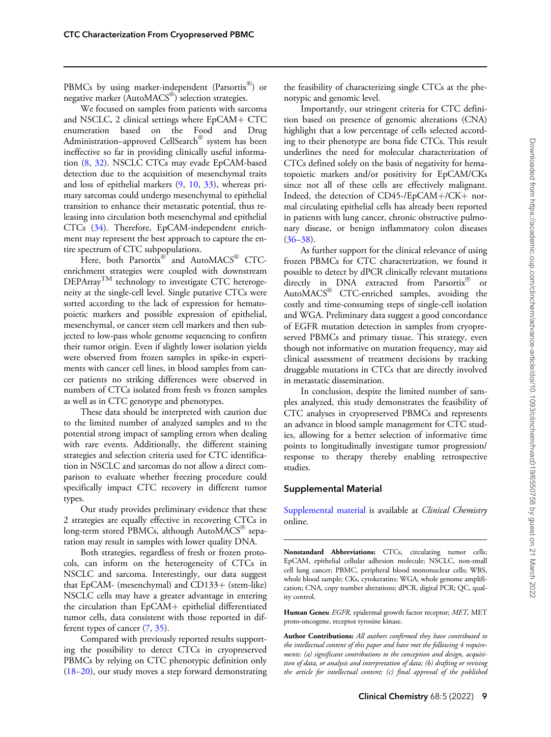PBMCs by using marker-independent (Parsortix®) or negative marker (Auto $\text{MACS}^{\textcircled{\tiny{\textregistered}}}\text{)}$  selection strategies.

We focused on samples from patients with sarcoma and NSCLC, 2 clinical settings where  $EpCAM+CTC$ enumeration based on the Food and Drug Administration–approved CellSearch® system has been ineffective so far in providing clinically useful information ([8,](#page-9-0) [32](#page-9-0)). NSCLC CTCs may evade EpCAM-based detection due to the acquisition of mesenchymal traits and loss of epithelial markers [\(9](#page-9-0), [10](#page-9-0), [33\)](#page-9-0), whereas primary sarcomas could undergo mesenchymal to epithelial transition to enhance their metastatic potential, thus releasing into circulation both mesenchymal and epithelial CTCs ([34\)](#page-9-0). Therefore, EpCAM-independent enrichment may represent the best approach to capture the entire spectrum of CTC subpopulations.

Here, both Parsortix® and AutoMACS® CTCenrichment strategies were coupled with downstream DEPArray<sup>TM</sup> technology to investigate CTC heterogeneity at the single-cell level. Single putative CTCs were sorted according to the lack of expression for hematopoietic markers and possible expression of epithelial, mesenchymal, or cancer stem cell markers and then subjected to low-pass whole genome sequencing to confirm their tumor origin. Even if slightly lower isolation yields were observed from frozen samples in spike-in experiments with cancer cell lines, in blood samples from cancer patients no striking differences were observed in numbers of CTCs isolated from fresh vs frozen samples as well as in CTC genotype and phenotypes.

These data should be interpreted with caution due to the limited number of analyzed samples and to the potential strong impact of sampling errors when dealing with rare events. Additionally, the different staining strategies and selection criteria used for CTC identification in NSCLC and sarcomas do not allow a direct comparison to evaluate whether freezing procedure could specifically impact CTC recovery in different tumor types.

Our study provides preliminary evidence that these 2 strategies are equally effective in recovering CTCs in  $long$ -term stored PBMCs, although AutoMACS® separation may result in samples with lower quality DNA.

Both strategies, regardless of fresh or frozen protocols, can inform on the heterogeneity of CTCs in NSCLC and sarcoma. Interestingly, our data suggest that EpCAM- (mesenchymal) and  $CD133+$  (stem-like) NSCLC cells may have a greater advantage in entering the circulation than  $EpCAM+$  epithelial differentiated tumor cells, data consistent with those reported in different types of cancer [\(7](#page-9-0), [35](#page-10-0)).

Compared with previously reported results supporting the possibility to detect CTCs in cryopreserved PBMCs by relying on CTC phenotypic definition only ([18–20\)](#page-9-0), our study moves a step forward demonstrating the feasibility of characterizing single CTCs at the phenotypic and genomic level.

Importantly, our stringent criteria for CTC definition based on presence of genomic alterations (CNA) highlight that a low percentage of cells selected according to their phenotype are bona fide CTCs. This result underlines the need for molecular characterization of CTCs defined solely on the basis of negativity for hematopoietic markers and/or positivity for EpCAM/CKs since not all of these cells are effectively malignant. Indeed, the detection of  $CD45$ -/EpCAM+/CK+ normal circulating epithelial cells has already been reported in patients with lung cancer, chronic obstructive pulmonary disease, or benign inflammatory colon diseases  $(36-38).$ 

As further support for the clinical relevance of using frozen PBMCs for CTC characterization, we found it possible to detect by dPCR clinically relevant mutations directly in DNA extracted from Parsortix<sup>®</sup> or AutoMACS® CTC-enriched samples, avoiding the costly and time-consuming steps of single-cell isolation and WGA. Preliminary data suggest a good concordance of EGFR mutation detection in samples from cryopreserved PBMCs and primary tissue. This strategy, even though not informative on mutation frequency, may aid clinical assessment of treatment decisions by tracking druggable mutations in CTCs that are directly involved in metastatic dissemination.

In conclusion, despite the limited number of samples analyzed, this study demonstrates the feasibility of CTC analyses in cryopreserved PBMCs and represents an advance in blood sample management for CTC studies, allowing for a better selection of informative time points to longitudinally investigate tumor progression/ response to therapy thereby enabling retrospective studies.

## Supplemental Material

[Supplemental material](https://academic.oup.com/clinchem/article-lookup/doi/10.1093/clinchem/hvac019#supplementary-data) is available at *Clinical Chemistry* online.

Nonstandard Abbreviations: CTCs, circulating tumor cells; EpCAM, epithelial cellular adhesion molecule; NSCLC, non-small cell lung cancer; PBMC, peripheral blood mononuclear cells; WBS, whole blood sample; CKs, cytokeratins; WGA, whole genome amplification; CNA, copy number alterations; dPCR, digital PCR; QC, quality control.

Human Genes: EGFR, epidermal growth factor receptor; MET, MET proto-oncogene, receptor tyrosine kinase.

Author Contributions: All authors confirmed they have contributed to the intellectual content of this paper and have met the following 4 requirements: (a) significant contributions to the conception and design, acquisition of data, or analysis and interpretation of data; (b) drafting or revising the article for intellectual content; (c) final approval of the published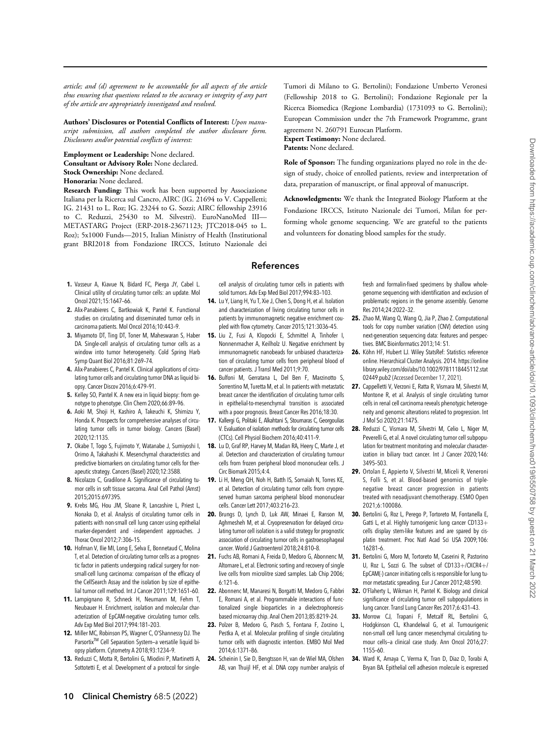<span id="page-9-0"></span>article; and (d) agreement to be accountable for all aspects of the article thus ensuring that questions related to the accuracy or integrity of any part of the article are appropriately investigated and resolved.

Authors' Disclosures or Potential Conflicts of Interest: Upon manuscript submission, all authors completed the author disclosure form. Disclosures and/or potential conflicts of interest:

Employment or Leadership: None declared. Consultant or Advisory Role: None declared. Stock Ownership: None declared. Honoraria: None declared.

Research Funding: This work has been supported by Associazione Italiana per la Ricerca sul Cancro, AIRC (IG. 21694 to V. Cappelletti; IG. 21431 to L. Roz; IG. 23244 to G. Sozzi; AIRC fellowship 23916 to C. Reduzzi, 25430 to M. Silvestri). EuroNanoMed III— METASTARG Project (ERP-2018-23671123; JTC2018-045 to L. Roz); 5x1000 Funds—2015, Italian Ministry of Health (Institutional grant BRI2018 from Fondazione IRCCS, Istituto Nazionale dei

- 1. Vasseur A, Kiavue N, Bidard FC, Pierga JY, Cabel L. Clinical utility of circulating tumor cells: an update. Mol Oncol 2021;15:1647–66.
- 2. Alix-Panabieres C, Bartkowiak K, Pantel K. Functional studies on circulating and disseminated tumor cells in carcinoma patients. Mol Oncol 2016;10:443–9.
- 3. Miyamoto DT, Ting DT, Toner M, Maheswaran S, Haber DA. Single-cell analysis of circulating tumor cells as a window into tumor heterogeneity. Cold Spring Harb Symp Quant Biol 2016;81:269–74.
- 4. Alix-Panabieres C, Pantel K. Clinical applications of circulating tumor cells and circulating tumor DNA as liquid biopsy. Cancer Discov 2016;6:479–91.
- 5. Kelley SO, Pantel K. A new era in liquid biopsy: from genotype to phenotype. Clin Chem 2020;66:89–96.
- 6. Aoki M, Shoji H, Kashiro A, Takeuchi K, Shimizu Y, Honda K. Prospects for comprehensive analyses of circulating tumor cells in tumor biology. Cancers (Basel) 2020;12:1135.
- 7. Okabe T, Togo S, Fujimoto Y, Watanabe J, Sumiyoshi I, Orimo A, Takahashi K. Mesenchymal characteristics and predictive biomarkers on circulating tumor cells for therapeutic strategy. Cancers (Basel) 2020;12:3588.
- 8. Nicolazzo C, Gradilone A. Significance of circulating tumor cells in soft tissue sarcoma. Anal Cell Pathol (Amst) 2015;2015:697395.
- 9. Krebs MG, Hou JM, Sloane R, Lancashire L, Priest L, Nonaka D, et al. Analysis of circulating tumor cells in patients with non-small cell lung cancer using epithelial marker-dependent and -independent approaches. J Thorac Oncol 2012;7:306–15.
- 10. Hofman V, Ilie MI, Long E, Selva E, Bonnetaud C, Molina T, et al. Detection of circulating tumor cells as a prognostic factor in patients undergoing radical surgery for nonsmall-cell lung carcinoma: comparison of the efficacy of the CellSearch Assay and the isolation by size of epithelial tumor cell method. Int J Cancer 2011;129:1651–60.
- 11. Lampignano R, Schneck H, Neumann M, Fehm T, Neubauer H. Enrichment, isolation and molecular characterization of EpCAM-negative circulating tumor cells. Adv Exp Med Biol 2017;994:181–203.
- 12. Miller MC, Robinson PS, Wagner C, O'Shannessy DJ. The Parsortix<sup>™</sup> Cell Separation System-a versatile liquid biopsy platform. Cytometry A 2018;93:1234–9.
- 13. Reduzzi C, Motta R, Bertolini G, Miodini P, Martinetti A, Sottotetti E, et al. Development of a protocol for single-

Tumori di Milano to G. Bertolini); Fondazione Umberto Veronesi (Fellowship 2018 to G. Bertolini); Fondazione Regionale per la Ricerca Biomedica (Regione Lombardia) (1731093 to G. Bertolini); European Commission under the 7th Framework Programme, grant agreement N. 260791 Eurocan Platform. Expert Testimony: None declared.

Patents: None declared.

Role of Sponsor: The funding organizations played no role in the design of study, choice of enrolled patients, review and interpretation of data, preparation of manuscript, or final approval of manuscript.

Acknowledgments: We thank the Integrated Biology Platform at the Fondazione IRCCS, Istituto Nazionale dei Tumori, Milan for performing whole genome sequencing. We are grateful to the patients and volunteers for donating blood samples for the study.

## References

cell analysis of circulating tumor cells in patients with solid tumors. Adv Exp Med Biol 2017;994:83–103.

- 14. Lu Y, Liang H, Yu T, Xie J, Chen S, Dong H, et al. Isolation and characterization of living circulating tumor cells in patients by immunomagnetic negative enrichment coupled with flow cytometry. Cancer 2015;121:3036–45.
- 15. Liu Z, Fusi A, Klopocki E, Schmittel A, Tinhofer I, Nonnenmacher A, Keilholz U. Negative enrichment by immunomagnetic nanobeads for unbiased characterization of circulating tumor cells from peripheral blood of cancer patients. J Transl Med 2011;9:70.
- 16. Bulfoni M, Gerratana L, Del Ben F, Marzinotto S, Sorrentino M, Turetta M, et al. In patients with metastatic breast cancer the identification of circulating tumor cells in epithelial-to-mesenchymal transition is associated with a poor prognosis. Breast Cancer Res 2016;18:30.
- 17. Kallergi G, Politaki E, Alkahtani S, Stournaras C, Georgoulias V. Evaluation of isolation methods for circulating tumor cells (CTCs). Cell Physiol Biochem 2016;40:411–9.
- 18. Lu D, Graf RP, Harvey M, Madan RA, Heery C, Marte J, et al. Detection and characterization of circulating tumour cells from frozen peripheral blood mononuclear cells. J Circ Biomark 2015;4:4.
- 19. Li H, Meng QH, Noh H, Batth IS, Somaiah N, Torres KE, et al. Detection of circulating tumor cells from cryopreserved human sarcoma peripheral blood mononuclear cells. Cancer Lett 2017;403:216–23.
- 20. Brungs D, Lynch D, Luk AW, Minaei E, Ranson M, Aghmesheh M, et al. Cryopreservation for delayed circulating tumor cell isolation is a valid strategy for prognostic association of circulating tumor cells in gastroesophageal cancer. World J Gastroenterol 2018;24:810–8.
- 21. Fuchs AB, Romani A, Freida D, Medoro G, Abonnenc M, Altomare L, et al. Electronic sorting and recovery of single live cells from microlitre sized samples. Lab Chip 2006; 6:121–6.
- 22. Abonnenc M, Manaresi N, Borgatti M, Medoro G, Fabbri E, Romani A, et al. Programmable interactions of functionalized single bioparticles in a dielectrophoresisbased microarray chip. Anal Chem 2013;85:8219–24.
- 23. Polzer B, Medoro G, Pasch S, Fontana F, Zorzino L, Pestka A, et al. Molecular profiling of single circulating tumor cells with diagnostic intention. EMBO Mol Med 2014;6:1371–86.
- 24. Scheinin I, Sie D, Bengtsson H, van de Wiel MA, Olshen AB, van Thuijl HF, et al. DNA copy number analysis of

fresh and formalin-fixed specimens by shallow wholegenome sequencing with identification and exclusion of problematic regions in the genome assembly. Genome Res 2014;24:2022–32.

- 25. Zhao M, Wang Q, Wang Q, Jia P, Zhao Z. Computational tools for copy number variation (CNV) detection using next-generation sequencing data: features and perspectives. BMC Bioinformatics 2013;14: S1.
- 26. Köhn HF, Hubert LJ. Wiley StatsRef: Statistics reference online. Hierarchical Cluster Analysis. 2014. [https://online](https://onlinelibrary.wiley.com/doi/abs/10.1002/9781118445112.stat02449.pub2 ) [library.wiley.com/doi/abs/10.1002/9781118445112.stat](https://onlinelibrary.wiley.com/doi/abs/10.1002/9781118445112.stat02449.pub2 ) [02449.pub2](https://onlinelibrary.wiley.com/doi/abs/10.1002/9781118445112.stat02449.pub2 ) (Accessed December 17, 2021).
- 27. Cappelletti V, Verzoni E, Ratta R, Vismara M, Silvestri M, Montone R, et al. Analysis of single circulating tumor cells in renal cell carcinoma reveals phenotypic heterogeneity and genomic alterations related to progression. Int J Mol Sci 2020;21:1475.
- 28. Reduzzi C, Vismara M, Silvestri M, Celio L, Niger M, Peverelli G, et al. A novel circulating tumor cell subpopulation for treatment monitoring and molecular characterization in biliary tract cancer. Int J Cancer 2020;146: 3495–503.
- 29. Ortolan E, Appierto V, Silvestri M, Miceli R, Veneroni S, Folli S, et al. Blood-based genomics of triplenegative breast cancer progression in patients treated with neoadjuvant chemotherapy. ESMO Open 2021;6:100086.
- 30. Bertolini G, Roz L, Perego P, Tortoreto M, Fontanella E, Gatti L, et al. Highly tumorigenic lung cancer CD133+ cells display stem-like features and are spared by cisplatin treatment. Proc Natl Acad Sci USA 2009;106: 16281–6.
- 31. Bertolini G, Moro M, Tortoreto M, Caserini R, Pastorino U, Roz L, Sozzi G. The subset of CD133+/CXCR4+/ EpCAM(-) cancer initiating cells is responsible for lung tumor metastatic spreading. Eur J Cancer 2012;48:S90.
- 32. O'Flaherty L, Wikman H, Pantel K. Biology and clinical significance of circulating tumor cell subpopulations in lung cancer. Transl Lung Cancer Res 2017;6:431–43.
- 33. Morrow CJ, Trapani F, Metcalf RL, Bertolini G, Hodgkinson CL, Khandelwal G, et al. Tumourigenic non-small cell lung cancer mesenchymal circulating tumour cells—a clinical case study. Ann Oncol 2016;27: 1155–60.
- 34. Ward K, Amaya C, Verma K, Tran D, Diaz D, Torabi A, Bryan BA. Epithelial cell adhesion molecule is expressed